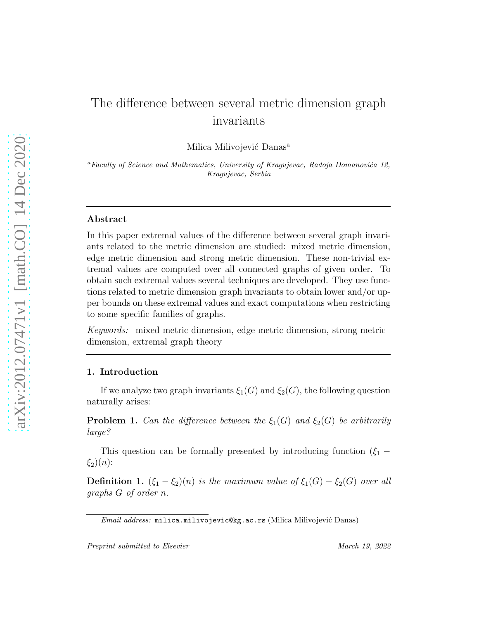# The difference between several metric dimension graph invariants

Milica Milivojević Danas<sup>a</sup>

<sup>a</sup>Faculty of Science and Mathematics, University of Kragujevac, Radoja Domanovića 12, Kragujevac, Serbia

# Abstract

In this paper extremal values of the difference between several graph invariants related to the metric dimension are studied: mixed metric dimension, edge metric dimension and strong metric dimension. These non-trivial extremal values are computed over all connected graphs of given order. To obtain such extremal values several techniques are developed. They use functions related to metric dimension graph invariants to obtain lower and/or upper bounds on these extremal values and exact computations when restricting to some specific families of graphs.

Keywords: mixed metric dimension, edge metric dimension, strong metric dimension, extremal graph theory

## 1. Introduction

If we analyze two graph invariants  $\xi_1(G)$  and  $\xi_2(G)$ , the following question naturally arises:

**Problem 1.** Can the difference between the  $\xi_1(G)$  and  $\xi_2(G)$  be arbitrarily large?

This question can be formally presented by introducing function  $(\xi_1 \xi_2(n)$ :

**Definition 1.**  $(\xi_1 - \xi_2)(n)$  is the maximum value of  $\xi_1(G) - \xi_2(G)$  over all graphs G of order n.

Email address: milica.milivojevic@kg.ac.rs (Milica Milivojević Danas)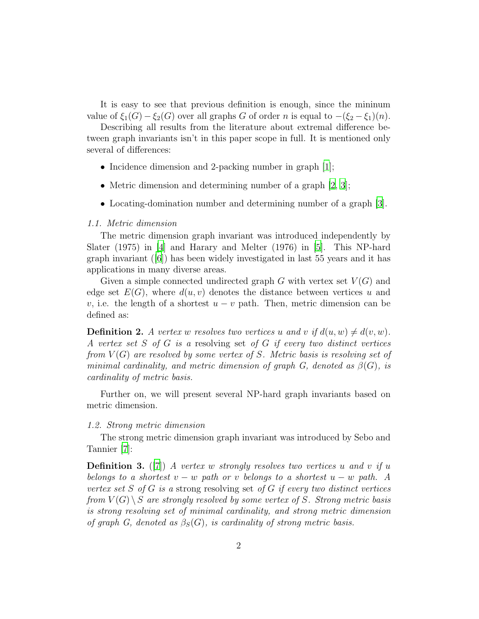It is easy to see that previous definition is enough, since the mininum value of  $\xi_1(G) - \xi_2(G)$  over all graphs G of order n is equal to  $-(\xi_2 - \xi_1)(n)$ .

Describing all results from the literature about extremal difference between graph invariants isn't in this paper scope in full. It is mentioned only several of differences:

- Incidence dimension and 2-packing number in graph [\[1](#page-9-0)];
- Metric dimension and determining number of a graph [\[2,](#page-9-1) [3\]](#page-9-2);
- Locating-domination number and determining number of a graph [\[3\]](#page-9-2).

#### 1.1. Metric dimension

The metric dimension graph invariant was introduced independently by Slater (1975) in [\[4](#page-9-3)] and Harary and Melter (1976) in [\[5](#page-9-4)]. This NP-hard graph invariant ([\[6\]](#page-9-5)) has been widely investigated in last 55 years and it has applications in many diverse areas.

Given a simple connected undirected graph G with vertex set  $V(G)$  and edge set  $E(G)$ , where  $d(u, v)$  denotes the distance between vertices u and v, i.e. the length of a shortest  $u - v$  path. Then, metric dimension can be defined as:

**Definition 2.** A vertex w resolves two vertices u and v if  $d(u, w) \neq d(v, w)$ . A vertex set S of G is a resolving set of G if every two distinct vertices from  $V(G)$  are resolved by some vertex of S. Metric basis is resolving set of minimal cardinality, and metric dimension of graph G, denoted as  $\beta(G)$ , is cardinality of metric basis.

Further on, we will present several NP-hard graph invariants based on metric dimension.

### 1.2. Strong metric dimension

The strong metric dimension graph invariant was introduced by Sebo and Tannier [\[7](#page-9-6)]:

**Definition 3.** ([\[7](#page-9-6)]) A vertex w strongly resolves two vertices u and v if u belongs to a shortest  $v - w$  path or v belongs to a shortest  $u - w$  path. A vertex set S of G is a strong resolving set of G if every two distinct vertices from  $V(G) \setminus S$  are strongly resolved by some vertex of S. Strong metric basis is strong resolving set of minimal cardinality, and strong metric dimension of graph G, denoted as  $\beta_S(G)$ , is cardinality of strong metric basis.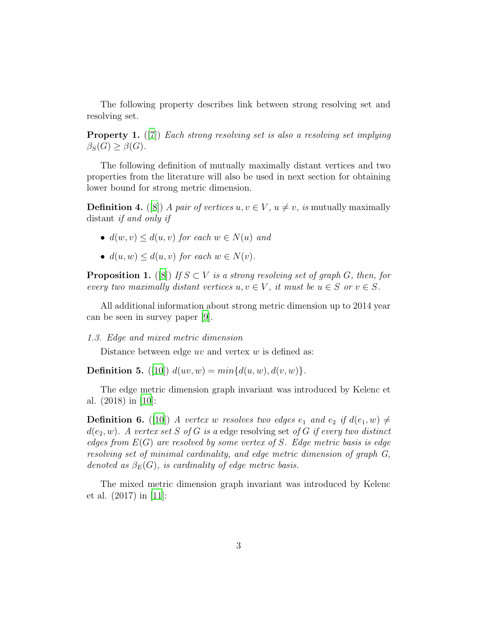The following property describes link between strong resolving set and resolving set.

**Property 1.** ([\[7\]](#page-9-6)) Each strong resolving set is also a resolving set implying  $\beta_S(G) \geq \beta(G)$ .

The following definition of mutually maximally distant vertices and two properties from the literature will also be used in next section for obtaining lower bound for strong metric dimension.

<span id="page-2-0"></span>**Definition 4.** ([\[8\]](#page-9-7)) A pair of vertices  $u, v \in V$ ,  $u \neq v$ , is mutually maximally distant if and only if

- $d(w, v) \leq d(u, v)$  for each  $w \in N(u)$  and
- $d(u, w) \leq d(u, v)$  for each  $w \in N(v)$ .

<span id="page-2-1"></span>**Proposition 1.** ([\[8\]](#page-9-7)) If  $S \subset V$  is a strong resolving set of graph G, then, for every two maximally distant vertices  $u, v \in V$ , it must be  $u \in S$  or  $v \in S$ .

All additional information about strong metric dimension up to 2014 year can be seen in survey paper [\[9](#page-10-0)].

1.3. Edge and mixed metric dimension

Distance between edge  $uv$  and vertex  $w$  is defined as:

**Definition 5.** ([\[10\]](#page-10-1))  $d(uv, w) = min{d(u, w), d(v, w)}.$ 

The edge metric dimension graph invariant was introduced by Kelenc et al. (2018) in [\[10](#page-10-1)]:

**Definition 6.** ([\[10\]](#page-10-1)) A vertex w resolves two edges  $e_1$  and  $e_2$  if  $d(e_1, w) \neq$  $d(e_2, w)$ . A vertex set S of G is a edge resolving set of G if every two distinct edges from  $E(G)$  are resolved by some vertex of S. Edge metric basis is edge resolving set of minimal cardinality, and edge metric dimension of graph G, denoted as  $\beta_E(G)$ , is cardinality of edge metric basis.

The mixed metric dimension graph invariant was introduced by Kelenc et al. (2017) in [\[11](#page-10-2)]: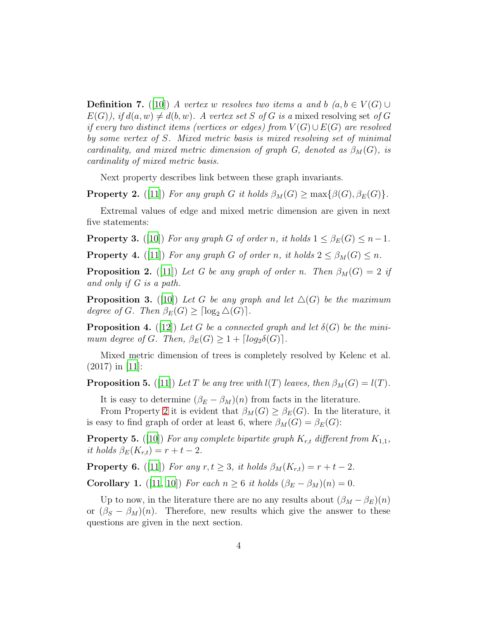**Definition 7.** ([\[10](#page-10-1)]) A vertex w resolves two items a and b  $(a, b \in V(G) \cup$  $E(G)$ , if  $d(a, w) \neq d(b, w)$ . A vertex set S of G is a mixed resolving set of G if every two distinct items (vertices or edges) from  $V(G) \cup E(G)$  are resolved by some vertex of S. Mixed metric basis is mixed resolving set of minimal cardinality, and mixed metric dimension of graph G, denoted as  $\beta_M(G)$ , is cardinality of mixed metric basis.

Next property describes link between these graph invariants.

<span id="page-3-0"></span>**Property 2.** ([\[11](#page-10-2)]) For any graph G it holds  $\beta_M(G) \ge \max\{\beta(G), \beta_E(G)\}.$ 

Extremal values of edge and mixed metric dimension are given in next five statements:

**Property 3.** ([\[10](#page-10-1)]) For any graph G of order n, it holds  $1 \leq \beta_E(G) \leq n-1$ .

<span id="page-3-3"></span>**Property 4.** ([\[11](#page-10-2)]) For any graph G of order n, it holds  $2 \leq \beta_M(G) \leq n$ .

<span id="page-3-4"></span>**Proposition 2.** ([\[11](#page-10-2)]) Let G be any graph of order n. Then  $\beta_M(G) = 2$  if and only if G is a path.

<span id="page-3-2"></span>**Proposition 3.** ([\[10\]](#page-10-1)) Let G be any graph and let  $\Delta(G)$  be the maximum degree of G. Then  $\beta_E(G) \geq \lceil \log_2 \Delta(G) \rceil$ .

**Proposition 4.** ([\[12](#page-10-3)]) Let G be a connected graph and let  $\delta(G)$  be the minimum degree of G. Then,  $\beta_E(G) \geq 1 + \lceil log_2\delta(G) \rceil$ .

Mixed metric dimension of trees is completely resolved by Kelenc et al.  $(2017)$  in [\[11\]](#page-10-2):

<span id="page-3-1"></span>**Proposition 5.** ([\[11](#page-10-2)]) Let T be any tree with  $l(T)$  leaves, then  $\beta_M(G) = l(T)$ .

It is easy to determine  $(\beta_E - \beta_M)(n)$  from facts in the literature.

From Property [2](#page-3-0) it is evident that  $\beta_M(G) \geq \beta_E(G)$ . In the literature, it is easy to find graph of order at least 6, where  $\beta_M(G) = \beta_E(G)$ :

**Property 5.** ([\[10\]](#page-10-1)) For any complete bipartite graph  $K_{r,t}$  different from  $K_{1,1}$ , it holds  $\beta_E(K_{r,t}) = r + t - 2$ .

**Property 6.** ([\[11](#page-10-2)]) For any  $r, t \geq 3$ , it holds  $\beta_M(K_{r,t}) = r + t - 2$ .

Corollary 1. ([\[11,](#page-10-2) [10\]](#page-10-1)) For each  $n \geq 6$  it holds  $(\beta_E - \beta_M)(n) = 0$ .

Up to now, in the literature there are no any results about  $(\beta_M - \beta_E)(n)$ or  $(\beta_S - \beta_M)(n)$ . Therefore, new results which give the answer to these questions are given in the next section.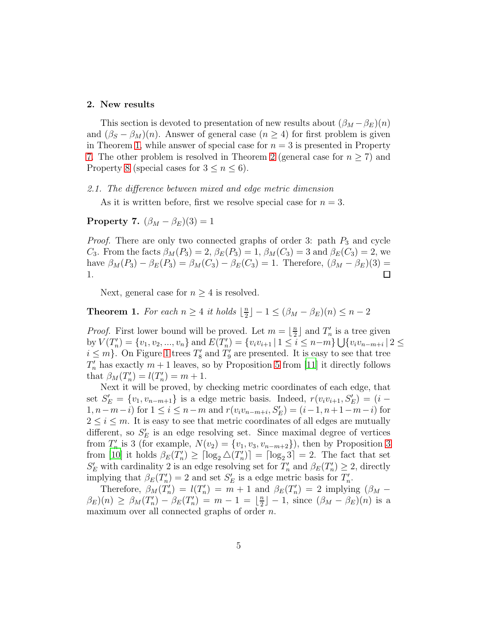#### 2. New results

This section is devoted to presentation of new results about  $(\beta_M - \beta_E)(n)$ and  $(\beta_S - \beta_M)(n)$ . Answer of general case  $(n \geq 4)$  for first problem is given in Theorem [1,](#page-4-0) while answer of special case for  $n = 3$  is presented in Property [7.](#page-4-1) The other problem is resolved in Theorem [2](#page-5-0) (general case for  $n \geq 7$ ) and Property [8](#page-5-1) (special cases for  $3 \leq n \leq 6$ ).

#### 2.1. The difference between mixed and edge metric dimension

As it is written before, first we resolve special case for  $n = 3$ .

# <span id="page-4-1"></span>**Property 7.**  $(\beta_M - \beta_E)(3) = 1$

*Proof.* There are only two connected graphs of order 3: path  $P_3$  and cycle  $C_3$ . From the facts  $\beta_M(P_3) = 2$ ,  $\beta_E(P_3) = 1$ ,  $\beta_M(C_3) = 3$  and  $\beta_E(C_3) = 2$ , we have  $\beta_M(P_3) - \beta_E(P_3) = \beta_M(C_3) - \beta_E(C_3) = 1$ . Therefore,  $(\beta_M - \beta_E)(3) =$ 1.  $\Box$ 

Next, general case for  $n \geq 4$  is resolved.

<span id="page-4-0"></span>**Theorem 1.** For each  $n \geq 4$  it holds  $\lfloor \frac{n}{2} \rfloor$  $\lfloor \frac{n}{2} \rfloor - 1 \leq (\beta_M - \beta_E)(n) \leq n - 2$ 

*Proof.* First lower bound will be proved. Let  $m = \lfloor \frac{n}{2} \rfloor$  $\frac{n}{2}$  and  $T'_n$  $n'_n$  is a tree given by  $V(T'_n)$  $\mathcal{L}'_n$ ) = { $v_1, v_2, ..., v_n$ } and  $E(T'_n)$  $\mathcal{L}_{n}^{(n)} = \{v_i v_{i+1} \mid 1 \leq i \leq n-m\} \bigcup \{v_i v_{n-m+i} \mid 2 \leq n\}$  $i \leq m$ . On Figure [1](#page-5-2) trees  $T_8$  $T_8'$  and  $T_9'$  $y'_{9}$  are presented. It is easy to see that tree  $T'_n$  has exactly  $m+1$  leaves, so by Proposition [5](#page-3-1) from [\[11\]](#page-10-2) it directly follows that  $\beta_M(T'_n)$  $\binom{n}{n} = l(T'_n)$  $n'_{n}) = m + 1.$ 

Next it will be proved, by checking metric coordinates of each edge, that set  $S'_{E} = \{v_1, v_{n-m+1}\}\$ is a edge metric basis. Indeed,  $r(v_i v_{i+1}, S'_{E}) = (i -$ 1, *n* − *m* − *i*) for  $1 \le i \le n - m$  and  $r(v_i v_{n-m+i}, S'_E) = (i - 1, n + 1 - m - i)$  for  $2 \leq i \leq m$ . It is easy to see that metric coordinates of all edges are mutually different, so  $S'_E$  is an edge resolving set. Since maximal degree of vertices from  $T'_n$  $v'_n$  is [3](#page-3-2) (for example,  $N(v_2) = \{v_1, v_3, v_{n-m+2}\}\)$ , then by Proposition 3 from [\[10\]](#page-10-1) it holds  $\beta_E(T'_n)$  $\binom{n}{n} \geq \lceil \log_2 \triangle (T'_n) \rceil$  ${n' \choose n}$  =  $\lceil \log_2 3 \rceil$  = 2. The fact that set  $S'_E$  with cardinality 2 is an edge resolving set for  $T'_n$  $\frac{m}{n}$  and  $\beta_E(T'_n)$  $\binom{n}{n} \geq 2$ , directly implying that  $\beta_E(T'_n)$  $S'_n$ ) = 2 and set  $S'_E$  is a edge metric basis for  $T'_n$ ''<br>n'

Therefore,  $\beta_M(T'_n)$  $n \choose n = l(T'_n)$  $\binom{n}{n}$  =  $\stackrel{\sim}{m}$  + 1 and  $\beta_E(T'_n)$  $\binom{n}{n}$  = 2 implying  $(\beta_M \beta_E(n) \geq \beta_M(T'_n)$  $\binom{n}{n}-\beta_E(T'_n)$  $\binom{n}{n} = m - 1 = \left\lfloor \frac{n}{2} \right\rfloor$  $\lfloor \frac{n}{2} \rfloor - 1$ , since  $(\beta_M - \beta_E)(n)$  is a maximum over all connected graphs of order *n*.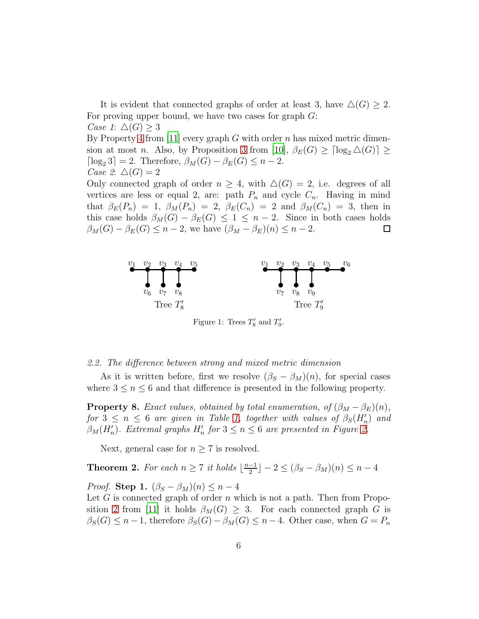It is evident that connected graphs of order at least 3, have  $\Delta(G) \geq 2$ . For proving upper bound, we have two cases for graph  $G$ : Case 1:  $\Delta(G) \geq 3$ By Property [4](#page-3-3) from [\[11\]](#page-10-2) every graph G with order n has mixed metric dimension at most *n*. Also, by Proposition [3](#page-3-2) from [\[10\]](#page-10-1),  $\beta_E(G) \geq \lceil \log_2 \Delta(G) \rceil \geq$  $\lceil \log_2 3 \rceil = 2$ . Therefore,  $\beta_M(G) - \beta_E(G) \leq n - 2$ . Case 2:  $\Delta(G) = 2$ 

Only connected graph of order  $n \geq 4$ , with  $\Delta(G) = 2$ , i.e. degrees of all vertices are less or equal 2, are: path  $P_n$  and cycle  $C_n$ . Having in mind that  $\beta_E(P_n) = 1$ ,  $\beta_M(P_n) = 2$ ,  $\beta_E(C_n) = 2$  and  $\beta_M(C_n) = 3$ , then in this case holds  $\beta_M(G) - \beta_E(G) \leq 1 \leq n-2$ . Since in both cases holds  $\beta_M(G) - \beta_E(G) \leq n-2$ , we have  $(\beta_M - \beta_E)(n) \leq n-2$ .  $\Box$ 



<span id="page-5-2"></span>Figure 1: Trees  $T'_8$  and  $T'_9$ .

#### 2.2. The difference between strong and mixed metric dimension

As it is written before, first we resolve  $(\beta_S - \beta_M)(n)$ , for special cases where  $3 \leq n \leq 6$  and that difference is presented in the following property.

<span id="page-5-1"></span>**Property 8.** Exact values, obtained by total enumeration, of  $(\beta_M - \beta_E)(n)$ , for  $3 \leq n \leq 6$  are given in Table [1,](#page-8-0) together with values of  $\beta_S(H'_n)$  and  $\beta_M(H'_n)$ . Extremal graphs  $H'_n$  for  $3 \leq n \leq 6$  are presented in Figure [2.](#page-8-1)

Next, general case for  $n \geq 7$  is resolved.

<span id="page-5-0"></span>**Theorem 2.** For each  $n \geq 7$  it holds  $\lfloor \frac{n-1}{2} \rfloor$  $\frac{-1}{2}$ ] – 2  $\leq (\beta_S - \beta_M)(n) \leq n-4$ *Proof.* Step 1.  $(\beta_S - \beta_M)(n) \leq n-4$ 

Let  $G$  is connected graph of order  $n$  which is not a path. Then from Propo-sition [2](#page-3-4) from [\[11\]](#page-10-2) it holds  $\beta_M(G) \geq 3$ . For each connected graph G is  $\beta_S(G) \leq n-1$ , therefore  $\beta_S(G) - \beta_M(G) \leq n-4$ . Other case, when  $G = P_n$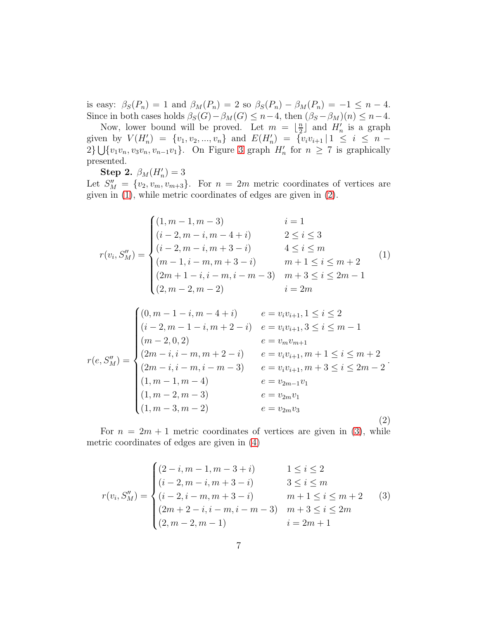is easy:  $\beta_S(P_n) = 1$  and  $\beta_M(P_n) = 2$  so  $\beta_S(P_n) - \beta_M(P_n) = -1 \leq n - 4$ . Since in both cases holds  $\beta_S(G)-\beta_M(G) \leq n-4$ , then  $(\beta_S - \beta_M)(n) \leq n-4$ .

Now, lower bound will be proved. Let  $m = \lfloor \frac{n}{2} \rfloor$  $\frac{n}{2}$  and  $H'_n$  is a graph given by  $V(H'_n) = \{v_1, v_2, ..., v_n\}$  and  $E(H'_n) = \{v_iv_{i+1} | 1 \leq i \leq n \{v_1v_n, v_3v_n, v_{n-1}v_1\}$ . On Figure [3](#page-9-8) graph  $H'_n$  for  $n \geq 7$  is graphically presented.

Step 2.  $\beta_M(H'_n) = 3$ 

Let  $S''_M = \{v_2, v_m, v_{m+3}\}.$  For  $n = 2m$  metric coordinates of vertices are given in [\(1\)](#page-6-0), while metric coordinates of edges are given in [\(2\)](#page-6-1).

<span id="page-6-0"></span>
$$
r(v_i, S_M'') = \begin{cases} (1, m-1, m-3) & i = 1\\ (i-2, m-i, m-4+i) & 2 \le i \le 3\\ (i-2, m-i, m+3-i) & 4 \le i \le m\\ (m-1, i-m, m+3-i) & m+1 \le i \le m+2\\ (2m+1-i, i-m, i-m-3) & m+3 \le i \le 2m-1\\ (2, m-2, m-2) & i = 2m \end{cases}
$$
(1)

<span id="page-6-1"></span>
$$
r(e, S''_M) = \begin{cases} (0, m-1-i, m-4+i) & e = v_i v_{i+1}, 1 \le i \le 2 \\ (i-2, m-1-i, m+2-i) & e = v_i v_{i+1}, 3 \le i \le m-1 \\ (m-2, 0, 2) & e = v_m v_{m+1} \\ (2m-i, i-m, m+2-i) & e = v_i v_{i+1}, m+1 \le i \le m+2 \\ (2m-i, i-m, i-m-3) & e = v_i v_{i+1}, m+3 \le i \le 2m-2 \\ (1, m-1, m-4) & e = v_{2m-1} v_1 \\ (1, m-2, m-3) & e = v_{2m} v_1 \\ (1, m-3, m-2) & e = v_{2m} v_3 \end{cases}
$$
(2)

For  $n = 2m + 1$  metric coordinates of vertices are given in [\(3\)](#page-6-2), while metric coordinates of edges are given in [\(4\)](#page-7-0)

<span id="page-6-2"></span>
$$
r(v_i, S_M'') = \begin{cases} (2-i, m-1, m-3+i) & 1 \le i \le 2 \\ (i-2, m-i, m+3-i) & 3 \le i \le m \\ (i-2, i-m, m+3-i) & m+1 \le i \le m+2 \\ (2m+2-i, i-m, i-m-3) & m+3 \le i \le 2m \\ (2, m-2, m-1) & i = 2m+1 \end{cases}
$$
(3)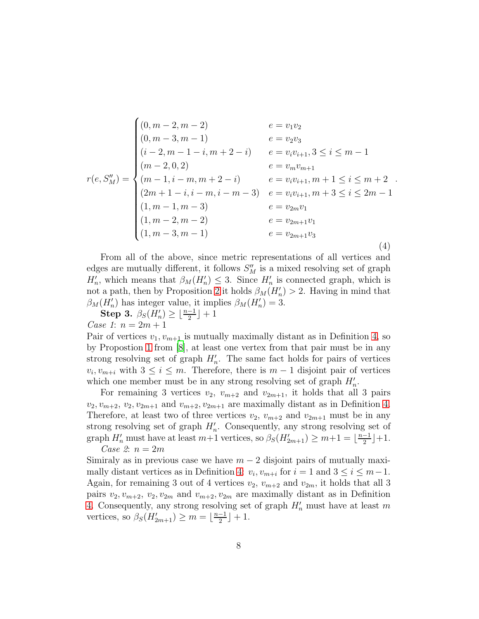<span id="page-7-0"></span>
$$
r(e, S''_M) = \begin{cases} (0, m-2, m-2) & e = v_1v_2 \\ (0, m-3, m-1) & e = v_2v_3 \\ (i-2, m-1-i, m+2-i) & e = v_iv_{i+1}, 3 \le i \le m-1 \\ (m-2, 0, 2) & e = v_mv_{m+1} \\ (m-1, i-m, m+2-i) & e = v_iv_{i+1}, m+1 \le i \le m+2 \\ (2m+1-i, i-m, i-m-3) & e = v_iv_{i+1}, m+3 \le i \le 2m-1 \\ (1, m-1, m-3) & e = v_{2m}v_1 \\ (1, m-2, m-2) & e = v_{2m+1}v_1 \\ (1, m-3, m-1) & e = v_{2m+1}v_3 \end{cases}
$$
(4)

From all of the above, since metric representations of all vertices and edges are mutually different, it follows  $S''_M$  is a mixed resolving set of graph  $H'_n$ , which means that  $\beta_M(H'_n) \leq 3$ . Since  $H'_n$  is connected graph, which is not a path, then by Proposition [2](#page-3-4) it holds  $\beta_M(H'_n) > 2$ . Having in mind that  $\beta_M(H'_n)$  has integer value, it implies  $\beta_M(H'_n) = 3$ .

 $\textbf{Step 3.} \ \ \beta_S(\breve{H}_n') \geq \lfloor \frac{n-1}{2} \rfloor + 1$ Case 1:  $n = 2m + 1$ 

Pair of vertices  $v_1, v_{m+1}$  is mutually maximally distant as in Definition [4,](#page-2-0) so by Propostion [1](#page-2-1) from [\[8](#page-9-7)], at least one vertex from that pair must be in any strong resolving set of graph  $H'_n$ . The same fact holds for pairs of vertices  $v_i, v_{m+i}$  with  $3 \leq i \leq m$ . Therefore, there is  $m-1$  disjoint pair of vertices which one member must be in any strong resolving set of graph  $H'_n$ .

For remaining 3 vertices  $v_2$ ,  $v_{m+2}$  and  $v_{2m+1}$ , it holds that all 3 pairs  $v_2, v_{m+2}, v_2, v_{2m+1}$  and  $v_{m+2}, v_{2m+1}$  are maximally distant as in Definition [4.](#page-2-0) Therefore, at least two of three vertices  $v_2$ ,  $v_{m+2}$  and  $v_{2m+1}$  must be in any strong resolving set of graph  $H'_n$ . Consequently, any strong resolving set of graph  $H'_n$  must have at least  $m+1$  vertices, so  $\beta_S(H'_{2m+1}) \geq m+1 = \lfloor \frac{n-1}{2} \rfloor$  $\frac{-1}{2}$  | + 1. Case 2:  $n = 2m$ 

Simiraly as in previous case we have  $m - 2$  disjoint pairs of mutually maxi-mally distant vertices as in Definition [4:](#page-2-0)  $v_i, v_{m+i}$  for  $i = 1$  and  $3 \le i \le m-1$ . Again, for remaining 3 out of 4 vertices  $v_2$ ,  $v_{m+2}$  and  $v_{2m}$ , it holds that all 3 pairs  $v_2, v_{m+2}, v_2, v_{2m}$  and  $v_{m+2}, v_{2m}$  are maximally distant as in Definition [4.](#page-2-0) Consequently, any strong resolving set of graph  $H'_n$  must have at least m vertices, so  $\beta_S(H'_{2m+1}) \geq m = \lfloor \frac{n-1}{2} \rfloor$  $\frac{-1}{2}$  + 1.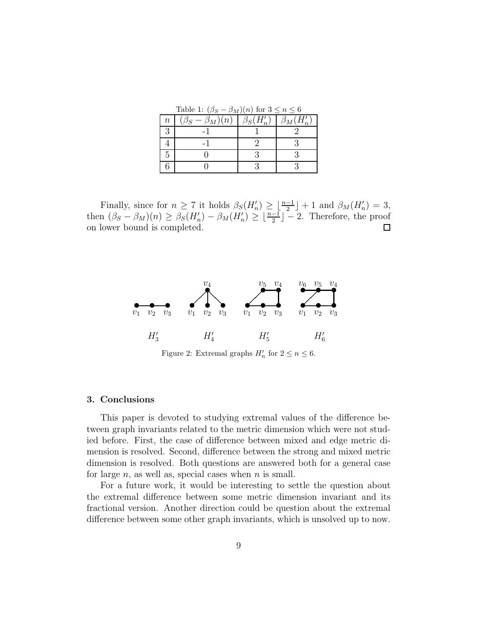<span id="page-8-0"></span>Table 1:  $(\beta_S - \beta_M)(n)$  for  $3 \le n \le 6$ 

| $\, n$ | $\sqrt{2}$<br>$-\beta_M)(n)$ | $\beta_S($ | $\beta_M(H'_n)$ |
|--------|------------------------------|------------|-----------------|
| 3      |                              |            |                 |
|        |                              |            |                 |
| h      |                              |            |                 |
|        |                              |            |                 |

Finally, since for  $n \ge 7$  it holds  $\beta_S(H'_n) \ge \lfloor \frac{n-1}{2} \rfloor + 1$  and  $\beta_M(H'_n) = 3$ , then  $(\beta_S - \beta_M)(n) \geq \beta_S(H'_n) - \beta_M(H'_n) \geq \lfloor \frac{n-1}{2} \rfloor - 2$ . Therefore, the proof on lower bound is completed.  $\Box$ 



<span id="page-8-1"></span>Figure 2: Extremal graphs  $H'_n$  for  $2 \le n \le 6$ .

## 3. Conclusions

This paper is devoted to studying extremal values of the difference between graph invariants related to the metric dimension which were not studied before. First, the case of difference between mixed and edge metric dimension is resolved. Second, difference between the strong and mixed metric dimension is resolved. Both questions are answered both for a general case for large  $n$ , as well as, special cases when  $n$  is small.

For a future work, it would be interesting to settle the question about the extremal difference between some metric dimension invariant and its fractional version. Another direction could be question about the extremal difference between some other graph invariants, which is unsolved up to now.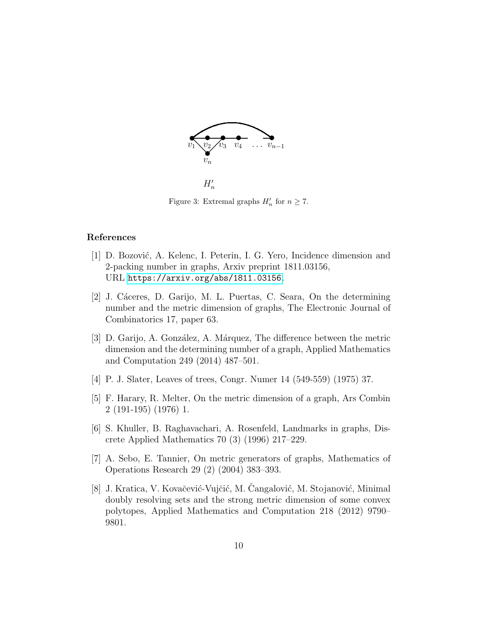

<span id="page-9-8"></span> $H'_n$ 

Figure 3: Extremal graphs  $H'_n$  for  $n \geq 7$ .

#### References

- <span id="page-9-0"></span>[1] D. Bozović, A. Kelenc, I. Peterin, I. G. Yero, Incidence dimension and 2-packing number in graphs, Arxiv preprint 1811.03156, URL <https://arxiv.org/abs/1811.03156>.
- <span id="page-9-1"></span>[2] J. C´aceres, D. Garijo, M. L. Puertas, C. Seara, On the determining number and the metric dimension of graphs, The Electronic Journal of Combinatorics 17, paper 63.
- <span id="page-9-2"></span>[3] D. Garijo, A. González, A. Márquez, The difference between the metric dimension and the determining number of a graph, Applied Mathematics and Computation 249 (2014) 487–501.
- <span id="page-9-3"></span>[4] P. J. Slater, Leaves of trees, Congr. Numer 14 (549-559) (1975) 37.
- <span id="page-9-4"></span>[5] F. Harary, R. Melter, On the metric dimension of a graph, Ars Combin 2 (191-195) (1976) 1.
- <span id="page-9-5"></span>[6] S. Khuller, B. Raghavachari, A. Rosenfeld, Landmarks in graphs, Discrete Applied Mathematics 70 (3) (1996) 217–229.
- <span id="page-9-6"></span>[7] A. Sebo, E. Tannier, On metric generators of graphs, Mathematics of Operations Research 29 (2) (2004) 383–393.
- <span id="page-9-7"></span>[8] J. Kratica, V. Kovačević-Vujčić, M. Cangalović, M. Stojanović, Minimal doubly resolving sets and the strong metric dimension of some convex polytopes, Applied Mathematics and Computation 218 (2012) 9790– 9801.